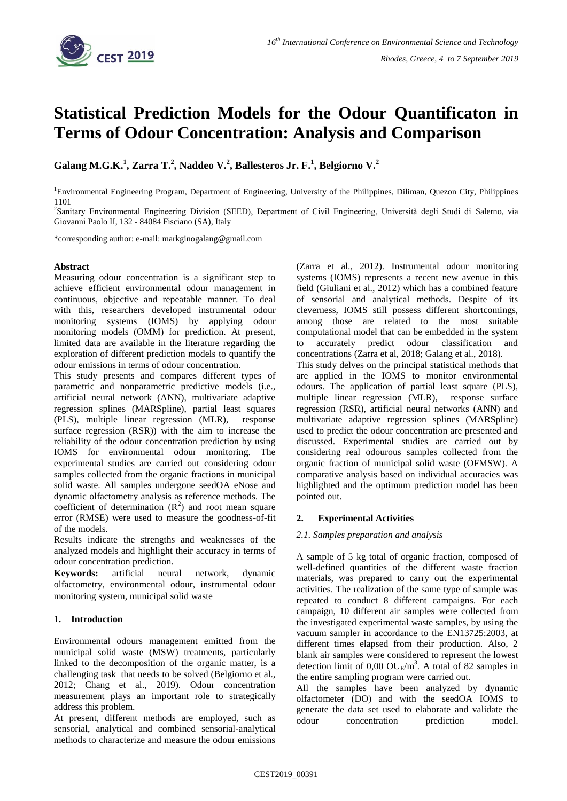

# **Statistical Prediction Models for the Odour Quantificaton in Terms of Odour Concentration: Analysis and Comparison**

**Galang M.G.K. 1 , Zarra T. 2 , Naddeo V. 2 , Ballesteros Jr. F.<sup>1</sup> , Belgiorno V. 2**

<sup>1</sup>Environmental Engineering Program, Department of Engineering, University of the Philippines, Diliman, Quezon City, Philippines 1101

2 Sanitary Environmental Engineering Division (SEED), Department of Civil Engineering, Università degli Studi di Salerno, via Giovanni Paolo II, 132 - 84084 Fisciano (SA), Italy

\*corresponding author: e-mail: markginogalang@gmail.com

# **Abstract**

Measuring odour concentration is a significant step to achieve efficient environmental odour management in continuous, objective and repeatable manner. To deal with this, researchers developed instrumental odour monitoring systems (IOMS) by applying odour monitoring models (OMM) for prediction. At present, limited data are available in the literature regarding the exploration of different prediction models to quantify the odour emissions in terms of odour concentration.

This study presents and compares different types of parametric and nonparametric predictive models (i.e., artificial neural network (ANN), multivariate adaptive regression splines (MARSpline), partial least squares (PLS), multiple linear regression (MLR), response surface regression (RSR)) with the aim to increase the reliability of the odour concentration prediction by using IOMS for environmental odour monitoring. The experimental studies are carried out considering odour samples collected from the organic fractions in municipal solid waste. All samples undergone seedOA eNose and dynamic olfactometry analysis as reference methods. The coefficient of determination  $(R^2)$  and root mean square error (RMSE) were used to measure the goodness-of-fit of the models.

Results indicate the strengths and weaknesses of the analyzed models and highlight their accuracy in terms of odour concentration prediction.

**Keywords:** artificial neural network, dynamic olfactometry, environmental odour, instrumental odour monitoring system, municipal solid waste

# **1. Introduction**

Environmental odours management emitted from the municipal solid waste (MSW) treatments, particularly linked to the decomposition of the organic matter, is a challenging task that needs to be solved (Belgiorno et al., 2012; Chang et al., 2019). Odour concentration measurement plays an important role to strategically address this problem.

At present, different methods are employed, such as sensorial, analytical and combined sensorial-analytical methods to characterize and measure the odour emissions

(Zarra et al., 2012). Instrumental odour monitoring systems (IOMS) represents a recent new avenue in this field (Giuliani et al., 2012) which has a combined feature of sensorial and analytical methods. Despite of its cleverness, IOMS still possess different shortcomings, among those are related to the most suitable computational model that can be embedded in the system to accurately predict odour classification and concentrations (Zarra et al, 2018; Galang et al., 2018). This study delves on the principal statistical methods that are applied in the IOMS to monitor environmental

odours. The application of partial least square (PLS), multiple linear regression (MLR), response surface regression (RSR), artificial neural networks (ANN) and multivariate adaptive regression splines (MARSpline) used to predict the odour concentration are presented and discussed. Experimental studies are carried out by considering real odourous samples collected from the organic fraction of municipal solid waste (OFMSW). A comparative analysis based on individual accuracies was highlighted and the optimum prediction model has been pointed out.

# **2. Experimental Activities**

# *2.1. Samples preparation and analysis*

A sample of 5 kg total of organic fraction, composed of well-defined quantities of the different waste fraction materials, was prepared to carry out the experimental activities. The realization of the same type of sample was repeated to conduct 8 different campaigns. For each campaign, 10 different air samples were collected from the investigated experimental waste samples, by using the vacuum sampler in accordance to the EN13725:2003, at different times elapsed from their production. Also, 2 blank air samples were considered to represent the lowest detection limit of  $0,00$  OU<sub>E</sub>/m<sup>3</sup>. A total of 82 samples in the entire sampling program were carried out.

All the samples have been analyzed by dynamic olfactometer (DO) and with the seedOA IOMS to generate the data set used to elaborate and validate the odour concentration prediction model.